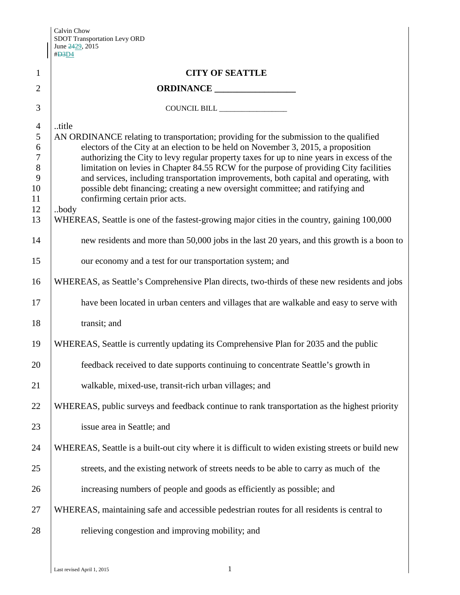Calvin Chow SDOT Transportation Levy ORD June <del>24</del>29, 2015 #D3D4

|                                                                            | # <del>D3</del> D4                                                                                                                                                                                                                                                                                                                                                                                                                                                                                                                                                                       |  |  |  |
|----------------------------------------------------------------------------|------------------------------------------------------------------------------------------------------------------------------------------------------------------------------------------------------------------------------------------------------------------------------------------------------------------------------------------------------------------------------------------------------------------------------------------------------------------------------------------------------------------------------------------------------------------------------------------|--|--|--|
| $\mathbf{1}$                                                               | <b>CITY OF SEATTLE</b>                                                                                                                                                                                                                                                                                                                                                                                                                                                                                                                                                                   |  |  |  |
| $\overline{2}$                                                             |                                                                                                                                                                                                                                                                                                                                                                                                                                                                                                                                                                                          |  |  |  |
| 3                                                                          |                                                                                                                                                                                                                                                                                                                                                                                                                                                                                                                                                                                          |  |  |  |
| $\overline{4}$<br>5<br>6<br>$\overline{7}$<br>$8\,$<br>9<br>10<br>11<br>12 | title<br>AN ORDINANCE relating to transportation; providing for the submission to the qualified<br>electors of the City at an election to be held on November 3, 2015, a proposition<br>authorizing the City to levy regular property taxes for up to nine years in excess of the<br>limitation on levies in Chapter 84.55 RCW for the purpose of providing City facilities<br>and services, including transportation improvements, both capital and operating, with<br>possible debt financing; creating a new oversight committee; and ratifying and<br>confirming certain prior acts. |  |  |  |
| 13                                                                         | body<br>WHEREAS, Seattle is one of the fastest-growing major cities in the country, gaining 100,000                                                                                                                                                                                                                                                                                                                                                                                                                                                                                      |  |  |  |
| 14                                                                         | new residents and more than 50,000 jobs in the last 20 years, and this growth is a boon to                                                                                                                                                                                                                                                                                                                                                                                                                                                                                               |  |  |  |
| 15                                                                         | our economy and a test for our transportation system; and                                                                                                                                                                                                                                                                                                                                                                                                                                                                                                                                |  |  |  |
| 16                                                                         | WHEREAS, as Seattle's Comprehensive Plan directs, two-thirds of these new residents and jobs                                                                                                                                                                                                                                                                                                                                                                                                                                                                                             |  |  |  |
| 17                                                                         | have been located in urban centers and villages that are walkable and easy to serve with                                                                                                                                                                                                                                                                                                                                                                                                                                                                                                 |  |  |  |
| 18                                                                         | transit; and                                                                                                                                                                                                                                                                                                                                                                                                                                                                                                                                                                             |  |  |  |
| 19                                                                         | WHEREAS, Seattle is currently updating its Comprehensive Plan for 2035 and the public                                                                                                                                                                                                                                                                                                                                                                                                                                                                                                    |  |  |  |
| 20                                                                         | feedback received to date supports continuing to concentrate Seattle's growth in                                                                                                                                                                                                                                                                                                                                                                                                                                                                                                         |  |  |  |
| 21                                                                         | walkable, mixed-use, transit-rich urban villages; and                                                                                                                                                                                                                                                                                                                                                                                                                                                                                                                                    |  |  |  |
| 22                                                                         | WHEREAS, public surveys and feedback continue to rank transportation as the highest priority                                                                                                                                                                                                                                                                                                                                                                                                                                                                                             |  |  |  |
| 23                                                                         | issue area in Seattle; and                                                                                                                                                                                                                                                                                                                                                                                                                                                                                                                                                               |  |  |  |
| 24                                                                         | WHEREAS, Seattle is a built-out city where it is difficult to widen existing streets or build new                                                                                                                                                                                                                                                                                                                                                                                                                                                                                        |  |  |  |
| 25                                                                         | streets, and the existing network of streets needs to be able to carry as much of the                                                                                                                                                                                                                                                                                                                                                                                                                                                                                                    |  |  |  |
| 26                                                                         | increasing numbers of people and goods as efficiently as possible; and                                                                                                                                                                                                                                                                                                                                                                                                                                                                                                                   |  |  |  |
| 27                                                                         | WHEREAS, maintaining safe and accessible pedestrian routes for all residents is central to                                                                                                                                                                                                                                                                                                                                                                                                                                                                                               |  |  |  |
| 28                                                                         | relieving congestion and improving mobility; and                                                                                                                                                                                                                                                                                                                                                                                                                                                                                                                                         |  |  |  |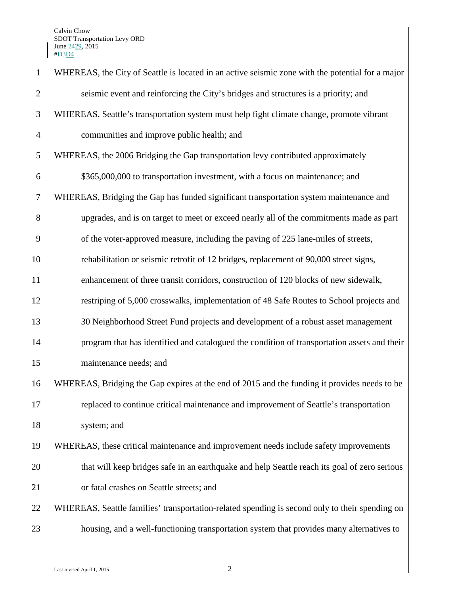| $\mathbf{1}$   | WHEREAS, the City of Seattle is located in an active seismic zone with the potential for a major |  |  |
|----------------|--------------------------------------------------------------------------------------------------|--|--|
| $\overline{2}$ | seismic event and reinforcing the City's bridges and structures is a priority; and               |  |  |
| 3              | WHEREAS, Seattle's transportation system must help fight climate change, promote vibrant         |  |  |
| $\overline{4}$ | communities and improve public health; and                                                       |  |  |
| 5              | WHEREAS, the 2006 Bridging the Gap transportation levy contributed approximately                 |  |  |
| 6              | \$365,000,000 to transportation investment, with a focus on maintenance; and                     |  |  |
| $\overline{7}$ | WHEREAS, Bridging the Gap has funded significant transportation system maintenance and           |  |  |
| 8              | upgrades, and is on target to meet or exceed nearly all of the commitments made as part          |  |  |
| 9              | of the voter-approved measure, including the paving of 225 lane-miles of streets,                |  |  |
| 10             | rehabilitation or seismic retrofit of 12 bridges, replacement of 90,000 street signs,            |  |  |
| 11             | enhancement of three transit corridors, construction of 120 blocks of new sidewalk,              |  |  |
| 12             | restriping of 5,000 crosswalks, implementation of 48 Safe Routes to School projects and          |  |  |
| 13             | 30 Neighborhood Street Fund projects and development of a robust asset management                |  |  |
| 14             | program that has identified and catalogued the condition of transportation assets and their      |  |  |
| 15             | maintenance needs; and                                                                           |  |  |
| 16             | WHEREAS, Bridging the Gap expires at the end of 2015 and the funding it provides needs to be     |  |  |
| 17             | replaced to continue critical maintenance and improvement of Seattle's transportation            |  |  |
| 18             | system; and                                                                                      |  |  |
| 19             | WHEREAS, these critical maintenance and improvement needs include safety improvements            |  |  |
| 20             | that will keep bridges safe in an earthquake and help Seattle reach its goal of zero serious     |  |  |
| 21             | or fatal crashes on Seattle streets; and                                                         |  |  |
| 22             | WHEREAS, Seattle families' transportation-related spending is second only to their spending on   |  |  |
| 23             | housing, and a well-functioning transportation system that provides many alternatives to         |  |  |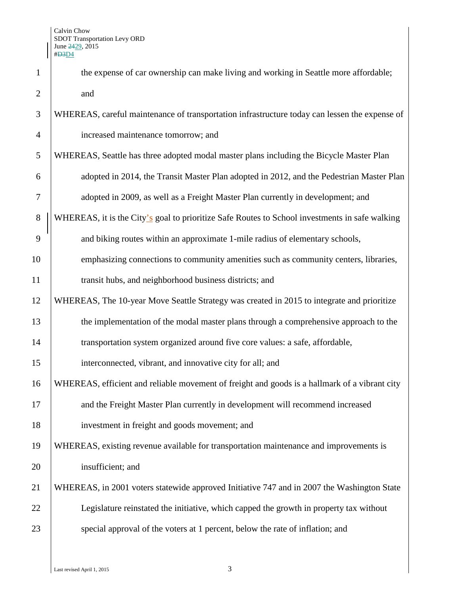| $\mathbf{1}$   | the expense of car ownership can make living and working in Seattle more affordable;           |  |
|----------------|------------------------------------------------------------------------------------------------|--|
| $\overline{2}$ | and                                                                                            |  |
| 3              | WHEREAS, careful maintenance of transportation infrastructure today can lessen the expense of  |  |
| $\overline{4}$ | increased maintenance tomorrow; and                                                            |  |
| 5              | WHEREAS, Seattle has three adopted modal master plans including the Bicycle Master Plan        |  |
| 6              | adopted in 2014, the Transit Master Plan adopted in 2012, and the Pedestrian Master Plan       |  |
| $\tau$         | adopted in 2009, as well as a Freight Master Plan currently in development; and                |  |
| 8              | WHEREAS, it is the City's goal to prioritize Safe Routes to School investments in safe walking |  |
| 9              | and biking routes within an approximate 1-mile radius of elementary schools,                   |  |
| 10             | emphasizing connections to community amenities such as community centers, libraries,           |  |
| 11             | transit hubs, and neighborhood business districts; and                                         |  |
| 12             | WHEREAS, The 10-year Move Seattle Strategy was created in 2015 to integrate and prioritize     |  |
| 13             | the implementation of the modal master plans through a comprehensive approach to the           |  |
| 14             | transportation system organized around five core values: a safe, affordable,                   |  |
| 15             | interconnected, vibrant, and innovative city for all; and                                      |  |
| 16             | WHEREAS, efficient and reliable movement of freight and goods is a hallmark of a vibrant city  |  |
| 17             | and the Freight Master Plan currently in development will recommend increased                  |  |
| 18             | investment in freight and goods movement; and                                                  |  |
| 19             | WHEREAS, existing revenue available for transportation maintenance and improvements is         |  |
| 20             | insufficient; and                                                                              |  |
| 21             | WHEREAS, in 2001 voters statewide approved Initiative 747 and in 2007 the Washington State     |  |
| 22             | Legislature reinstated the initiative, which capped the growth in property tax without         |  |
| 23             | special approval of the voters at 1 percent, below the rate of inflation; and                  |  |
|                |                                                                                                |  |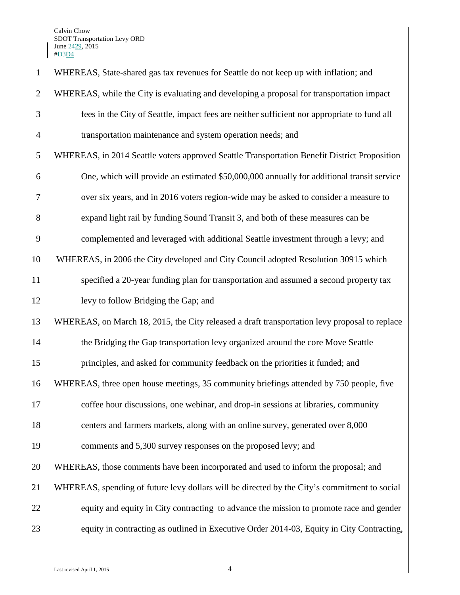Calvin Chow SDOT Transportation Levy ORD June <del>24</del>29, 2015 #D3D4

| $\mathbf{1}$   | WHEREAS, State-shared gas tax revenues for Seattle do not keep up with inflation; and         |
|----------------|-----------------------------------------------------------------------------------------------|
| $\overline{2}$ | WHEREAS, while the City is evaluating and developing a proposal for transportation impact     |
| 3              | fees in the City of Seattle, impact fees are neither sufficient nor appropriate to fund all   |
| $\overline{4}$ | transportation maintenance and system operation needs; and                                    |
| 5              | WHEREAS, in 2014 Seattle voters approved Seattle Transportation Benefit District Proposition  |
| 6              | One, which will provide an estimated \$50,000,000 annually for additional transit service     |
| $\tau$         | over six years, and in 2016 voters region-wide may be asked to consider a measure to          |
| 8              | expand light rail by funding Sound Transit 3, and both of these measures can be               |
| 9              | complemented and leveraged with additional Seattle investment through a levy; and             |
| 10             | WHEREAS, in 2006 the City developed and City Council adopted Resolution 30915 which           |
| 11             | specified a 20-year funding plan for transportation and assumed a second property tax         |
| 12             | levy to follow Bridging the Gap; and                                                          |
| 13             | WHEREAS, on March 18, 2015, the City released a draft transportation levy proposal to replace |
| 14             | the Bridging the Gap transportation levy organized around the core Move Seattle               |
| 15             | principles, and asked for community feedback on the priorities it funded; and                 |
| 16             | WHEREAS, three open house meetings, 35 community briefings attended by 750 people, five       |
| 17             | coffee hour discussions, one webinar, and drop-in sessions at libraries, community            |
| 18             | centers and farmers markets, along with an online survey, generated over 8,000                |
| 19             | comments and 5,300 survey responses on the proposed levy; and                                 |
| 20             | WHEREAS, those comments have been incorporated and used to inform the proposal; and           |
| 21             | WHEREAS, spending of future levy dollars will be directed by the City's commitment to social  |
| 22             | equity and equity in City contracting to advance the mission to promote race and gender       |
| 23             | equity in contracting as outlined in Executive Order 2014-03, Equity in City Contracting,     |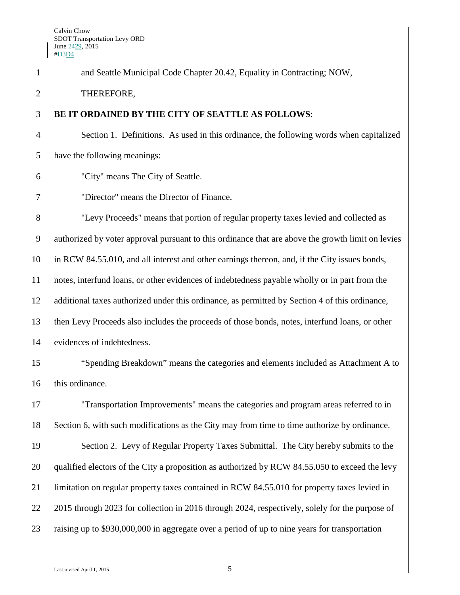| $\mathbf{1}$   | and Seattle Municipal Code Chapter 20.42, Equality in Contracting; NOW,                           |  |
|----------------|---------------------------------------------------------------------------------------------------|--|
| $\overline{2}$ | THEREFORE,                                                                                        |  |
| 3              | BE IT ORDAINED BY THE CITY OF SEATTLE AS FOLLOWS:                                                 |  |
| $\overline{4}$ | Section 1. Definitions. As used in this ordinance, the following words when capitalized           |  |
| 5              | have the following meanings:                                                                      |  |
| 6              | "City" means The City of Seattle.                                                                 |  |
| 7              | "Director" means the Director of Finance.                                                         |  |
| 8              | "Levy Proceeds" means that portion of regular property taxes levied and collected as              |  |
| 9              | authorized by voter approval pursuant to this ordinance that are above the growth limit on levies |  |
| 10             | in RCW 84.55.010, and all interest and other earnings thereon, and, if the City issues bonds,     |  |
| 11             | notes, interfund loans, or other evidences of indebtedness payable wholly or in part from the     |  |
| 12             | additional taxes authorized under this ordinance, as permitted by Section 4 of this ordinance,    |  |
| 13             | then Levy Proceeds also includes the proceeds of those bonds, notes, interfund loans, or other    |  |
| 14             | evidences of indebtedness.                                                                        |  |
| 15             | "Spending Breakdown" means the categories and elements included as Attachment A to                |  |
| 16             | this ordinance.                                                                                   |  |
| 17             | "Transportation Improvements" means the categories and program areas referred to in               |  |
| 18             | Section 6, with such modifications as the City may from time to time authorize by ordinance.      |  |
| 19             | Section 2. Levy of Regular Property Taxes Submittal. The City hereby submits to the               |  |
| 20             | qualified electors of the City a proposition as authorized by RCW 84.55.050 to exceed the levy    |  |
| 21             | limitation on regular property taxes contained in RCW 84.55.010 for property taxes levied in      |  |
| 22             | 2015 through 2023 for collection in 2016 through 2024, respectively, solely for the purpose of    |  |
| 23             | raising up to \$930,000,000 in aggregate over a period of up to nine years for transportation     |  |
|                |                                                                                                   |  |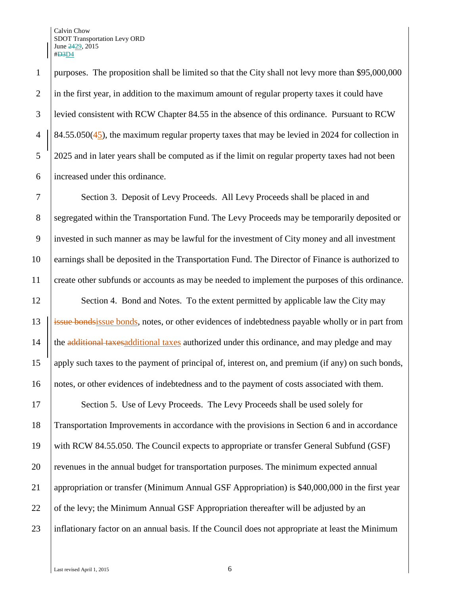Calvin Chow SDOT Transportation Levy ORD June 2429, 2015 #D3D4

 purposes. The proposition shall be limited so that the City shall not levy more than \$95,000,000 in the first year, in addition to the maximum amount of regular property taxes it could have levied consistent with RCW Chapter 84.55 in the absence of this ordinance. Pursuant to RCW  $\left| \frac{84.55.050(45)}{84.55.050(45)} \right|$ , the maximum regular property taxes that may be levied in 2024 for collection in 2025 and in later years shall be computed as if the limit on regular property taxes had not been increased under this ordinance.

 Section 3. Deposit of Levy Proceeds. All Levy Proceeds shall be placed in and 8 Segregated within the Transportation Fund. The Levy Proceeds may be temporarily deposited or invested in such manner as may be lawful for the investment of City money and all investment earnings shall be deposited in the Transportation Fund. The Director of Finance is authorized to create other subfunds or accounts as may be needed to implement the purposes of this ordinance.

12 Section 4. Bond and Notes. To the extent permitted by applicable law the City may 13 | issue bondsissue bonds, notes, or other evidences of indebtedness payable wholly or in part from 14 the additional taxes additional taxes authorized under this ordinance, and may pledge and may 15 apply such taxes to the payment of principal of, interest on, and premium (if any) on such bonds, 16 notes, or other evidences of indebtedness and to the payment of costs associated with them.

17 Section 5. Use of Levy Proceeds. The Levy Proceeds shall be used solely for 18 Transportation Improvements in accordance with the provisions in Section 6 and in accordance 19 with RCW 84.55.050. The Council expects to appropriate or transfer General Subfund (GSF) 20 revenues in the annual budget for transportation purposes. The minimum expected annual 21 appropriation or transfer (Minimum Annual GSF Appropriation) is \$40,000,000 in the first year 22 of the levy; the Minimum Annual GSF Appropriation thereafter will be adjusted by an 23 inflationary factor on an annual basis. If the Council does not appropriate at least the Minimum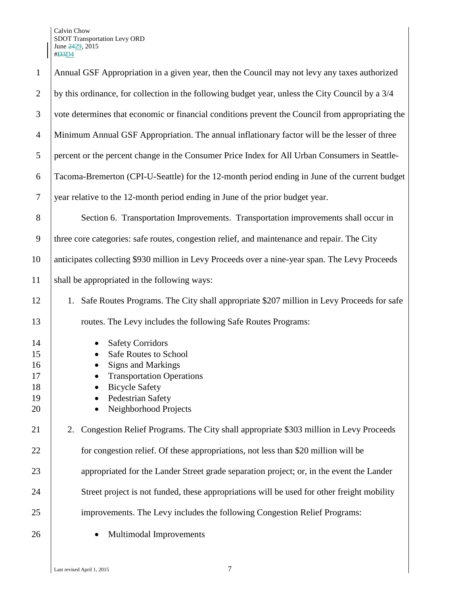| $\mathbf{1}$                           | Annual GSF Appropriation in a given year, then the Council may not levy any taxes authorized                                                                                                                 |  |  |  |
|----------------------------------------|--------------------------------------------------------------------------------------------------------------------------------------------------------------------------------------------------------------|--|--|--|
| $\overline{2}$                         | by this ordinance, for collection in the following budget year, unless the City Council by a 3/4                                                                                                             |  |  |  |
| 3                                      | vote determines that economic or financial conditions prevent the Council from appropriating the                                                                                                             |  |  |  |
| $\overline{4}$                         | Minimum Annual GSF Appropriation. The annual inflationary factor will be the lesser of three                                                                                                                 |  |  |  |
| 5                                      | percent or the percent change in the Consumer Price Index for All Urban Consumers in Seattle-                                                                                                                |  |  |  |
| 6                                      | Tacoma-Bremerton (CPI-U-Seattle) for the 12-month period ending in June of the current budget                                                                                                                |  |  |  |
| $\tau$                                 | year relative to the 12-month period ending in June of the prior budget year.                                                                                                                                |  |  |  |
| 8                                      | Section 6. Transportation Improvements. Transportation improvements shall occur in                                                                                                                           |  |  |  |
| 9                                      | three core categories: safe routes, congestion relief, and maintenance and repair. The City                                                                                                                  |  |  |  |
| 10                                     | anticipates collecting \$930 million in Levy Proceeds over a nine-year span. The Levy Proceeds                                                                                                               |  |  |  |
| 11                                     | shall be appropriated in the following ways:                                                                                                                                                                 |  |  |  |
| 12                                     | 1. Safe Routes Programs. The City shall appropriate \$207 million in Levy Proceeds for safe                                                                                                                  |  |  |  |
| 13                                     | routes. The Levy includes the following Safe Routes Programs:                                                                                                                                                |  |  |  |
| 14<br>15<br>16<br>17<br>18<br>19<br>20 | <b>Safety Corridors</b><br>$\bullet$<br><b>Safe Routes to School</b><br><b>Signs and Markings</b><br><b>Transportation Operations</b><br><b>Bicycle Safety</b><br>Pedestrian Safety<br>Neighborhood Projects |  |  |  |
| 21                                     | Congestion Relief Programs. The City shall appropriate \$303 million in Levy Proceeds<br>2.                                                                                                                  |  |  |  |
| 22                                     | for congestion relief. Of these appropriations, not less than \$20 million will be                                                                                                                           |  |  |  |
| 23                                     | appropriated for the Lander Street grade separation project; or, in the event the Lander                                                                                                                     |  |  |  |
| 24                                     | Street project is not funded, these appropriations will be used for other freight mobility                                                                                                                   |  |  |  |
| 25                                     | improvements. The Levy includes the following Congestion Relief Programs:                                                                                                                                    |  |  |  |
| 26                                     | Multimodal Improvements                                                                                                                                                                                      |  |  |  |
|                                        |                                                                                                                                                                                                              |  |  |  |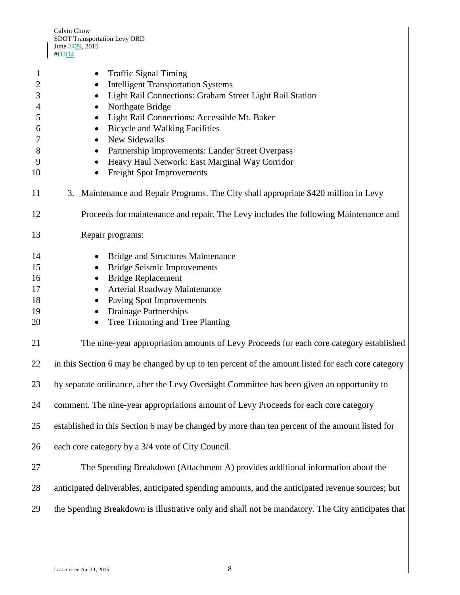| #D3D4                                                                                                                                                                                                                                                                                                                                                                                                         |  |  |
|---------------------------------------------------------------------------------------------------------------------------------------------------------------------------------------------------------------------------------------------------------------------------------------------------------------------------------------------------------------------------------------------------------------|--|--|
| <b>Traffic Signal Timing</b><br><b>Intelligent Transportation Systems</b><br>Light Rail Connections: Graham Street Light Rail Station<br>Northgate Bridge<br>Light Rail Connections: Accessible Mt. Baker<br><b>Bicycle and Walking Facilities</b><br>New Sidewalks<br>Partnership Improvements: Lander Street Overpass<br>Heavy Haul Network: East Marginal Way Corridor<br><b>Freight Spot Improvements</b> |  |  |
| 3. Maintenance and Repair Programs. The City shall appropriate \$420 million in Levy                                                                                                                                                                                                                                                                                                                          |  |  |
| Proceeds for maintenance and repair. The Levy includes the following Maintenance and                                                                                                                                                                                                                                                                                                                          |  |  |
| Repair programs:                                                                                                                                                                                                                                                                                                                                                                                              |  |  |
| <b>Bridge and Structures Maintenance</b><br><b>Bridge Seismic Improvements</b><br><b>Bridge Replacement</b><br>Arterial Roadway Maintenance<br>Paving Spot Improvements<br><b>Drainage Partnerships</b><br>Tree Trimming and Tree Planting                                                                                                                                                                    |  |  |
| The nine-year appropriation amounts of Levy Proceeds for each core category established                                                                                                                                                                                                                                                                                                                       |  |  |
| in this Section 6 may be changed by up to ten percent of the amount listed for each core category                                                                                                                                                                                                                                                                                                             |  |  |
| by separate ordinance, after the Levy Oversight Committee has been given an opportunity to                                                                                                                                                                                                                                                                                                                    |  |  |
| comment. The nine-year appropriations amount of Levy Proceeds for each core category                                                                                                                                                                                                                                                                                                                          |  |  |
| established in this Section 6 may be changed by more than ten percent of the amount listed for                                                                                                                                                                                                                                                                                                                |  |  |
| each core category by a 3/4 vote of City Council.                                                                                                                                                                                                                                                                                                                                                             |  |  |
| The Spending Breakdown (Attachment A) provides additional information about the                                                                                                                                                                                                                                                                                                                               |  |  |
| anticipated deliverables, anticipated spending amounts, and the anticipated revenue sources; but                                                                                                                                                                                                                                                                                                              |  |  |
| the Spending Breakdown is illustrative only and shall not be mandatory. The City anticipates that                                                                                                                                                                                                                                                                                                             |  |  |
|                                                                                                                                                                                                                                                                                                                                                                                                               |  |  |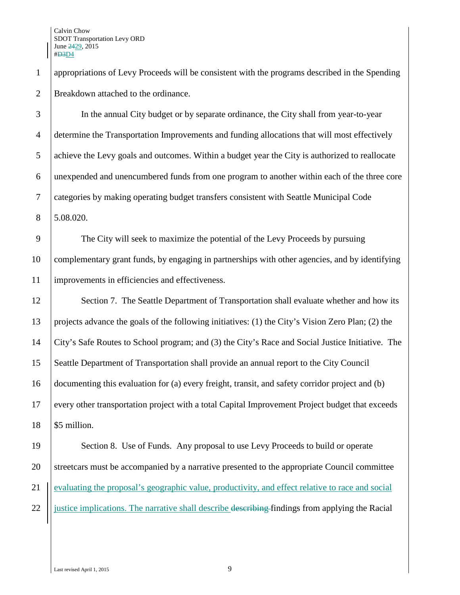appropriations of Levy Proceeds will be consistent with the programs described in the Spending Breakdown attached to the ordinance.

 In the annual City budget or by separate ordinance, the City shall from year-to-year determine the Transportation Improvements and funding allocations that will most effectively achieve the Levy goals and outcomes. Within a budget year the City is authorized to reallocate unexpended and unencumbered funds from one program to another within each of the three core categories by making operating budget transfers consistent with Seattle Municipal Code 5.08.020.

 The City will seek to maximize the potential of the Levy Proceeds by pursuing complementary grant funds, by engaging in partnerships with other agencies, and by identifying improvements in efficiencies and effectiveness.

12 Section 7. The Seattle Department of Transportation shall evaluate whether and how its projects advance the goals of the following initiatives: (1) the City's Vision Zero Plan; (2) the City's Safe Routes to School program; and (3) the City's Race and Social Justice Initiative. The Seattle Department of Transportation shall provide an annual report to the City Council documenting this evaluation for (a) every freight, transit, and safety corridor project and (b) every other transportation project with a total Capital Improvement Project budget that exceeds \$5 million.

19 Section 8. Use of Funds. Any proposal to use Levy Proceeds to build or operate 20 Streetcars must be accompanied by a narrative presented to the appropriate Council committee 21 evaluating the proposal's geographic value, productivity, and effect relative to race and social 22  $\frac{1}{2}$  iustice implications. The narrative shall describe describing findings from applying the Racial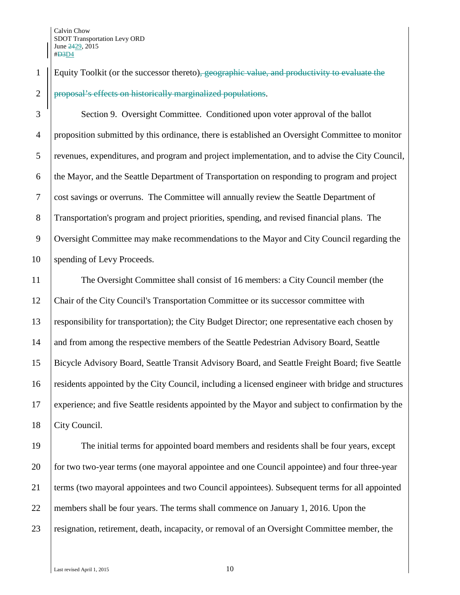## 1 Equity Toolkit (or the successor thereto), geographic value, and productivity to evaluate the 2 | proposal's effects on historically marginalized populations.

 Section 9. Oversight Committee. Conditioned upon voter approval of the ballot proposition submitted by this ordinance, there is established an Oversight Committee to monitor revenues, expenditures, and program and project implementation, and to advise the City Council, the Mayor, and the Seattle Department of Transportation on responding to program and project cost savings or overruns. The Committee will annually review the Seattle Department of Transportation's program and project priorities, spending, and revised financial plans. The 9 Oversight Committee may make recommendations to the Mayor and City Council regarding the 10 | spending of Levy Proceeds.

 The Oversight Committee shall consist of 16 members: a City Council member (the 12 Chair of the City Council's Transportation Committee or its successor committee with responsibility for transportation); the City Budget Director; one representative each chosen by 14 and from among the respective members of the Seattle Pedestrian Advisory Board, Seattle Bicycle Advisory Board, Seattle Transit Advisory Board, and Seattle Freight Board; five Seattle residents appointed by the City Council, including a licensed engineer with bridge and structures experience; and five Seattle residents appointed by the Mayor and subject to confirmation by the 18 | City Council.

19 The initial terms for appointed board members and residents shall be four years, except 20 for two two-year terms (one mayoral appointee and one Council appointee) and four three-year 21 terms (two mayoral appointees and two Council appointees). Subsequent terms for all appointed 22 members shall be four years. The terms shall commence on January 1, 2016. Upon the 23 resignation, retirement, death, incapacity, or removal of an Oversight Committee member, the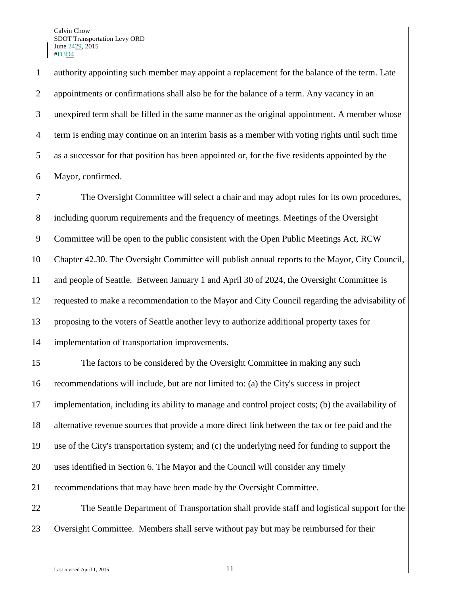authority appointing such member may appoint a replacement for the balance of the term. Late appointments or confirmations shall also be for the balance of a term. Any vacancy in an unexpired term shall be filled in the same manner as the original appointment. A member whose term is ending may continue on an interim basis as a member with voting rights until such time 5 as a successor for that position has been appointed or, for the five residents appointed by the Mayor, confirmed.

 The Oversight Committee will select a chair and may adopt rules for its own procedures, 8 including quorum requirements and the frequency of meetings. Meetings of the Oversight 9 Committee will be open to the public consistent with the Open Public Meetings Act, RCW Chapter 42.30. The Oversight Committee will publish annual reports to the Mayor, City Council, and people of Seattle. Between January 1 and April 30 of 2024, the Oversight Committee is requested to make a recommendation to the Mayor and City Council regarding the advisability of proposing to the voters of Seattle another levy to authorize additional property taxes for implementation of transportation improvements.

 The factors to be considered by the Oversight Committee in making any such recommendations will include, but are not limited to: (a) the City's success in project implementation, including its ability to manage and control project costs; (b) the availability of 18 alternative revenue sources that provide a more direct link between the tax or fee paid and the use of the City's transportation system; and (c) the underlying need for funding to support the uses identified in Section 6. The Mayor and the Council will consider any timely recommendations that may have been made by the Oversight Committee.

 The Seattle Department of Transportation shall provide staff and logistical support for the 23 Oversight Committee. Members shall serve without pay but may be reimbursed for their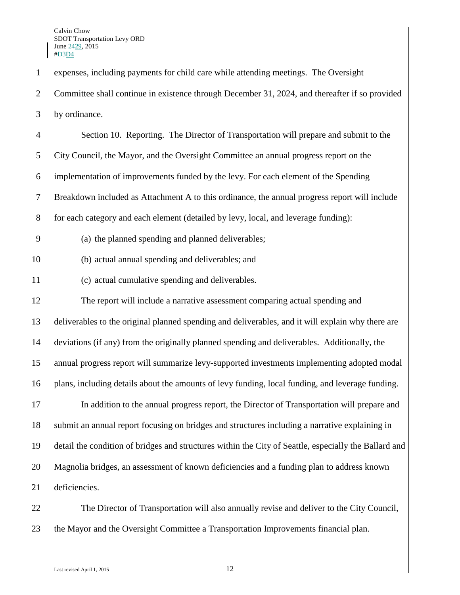expenses, including payments for child care while attending meetings. The Oversight Committee shall continue in existence through December 31, 2024, and thereafter if so provided by ordinance.

 Section 10. Reporting. The Director of Transportation will prepare and submit to the City Council, the Mayor, and the Oversight Committee an annual progress report on the implementation of improvements funded by the levy. For each element of the Spending Breakdown included as Attachment A to this ordinance, the annual progress report will include 8 for each category and each element (detailed by levy, local, and leverage funding):

- (a) the planned spending and planned deliverables;
- (b) actual annual spending and deliverables; and
- (c) actual cumulative spending and deliverables.

 The report will include a narrative assessment comparing actual spending and deliverables to the original planned spending and deliverables, and it will explain why there are deviations (if any) from the originally planned spending and deliverables. Additionally, the annual progress report will summarize levy-supported investments implementing adopted modal plans, including details about the amounts of levy funding, local funding, and leverage funding. In addition to the annual progress report, the Director of Transportation will prepare and 18 Submit an annual report focusing on bridges and structures including a narrative explaining in detail the condition of bridges and structures within the City of Seattle, especially the Ballard and Magnolia bridges, an assessment of known deficiencies and a funding plan to address known deficiencies.

 The Director of Transportation will also annually revise and deliver to the City Council, 23 the Mayor and the Oversight Committee a Transportation Improvements financial plan.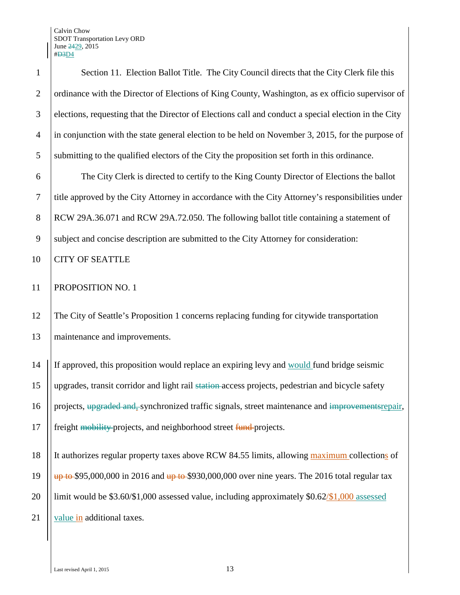| $\mathbf{1}$   | Section 11. Election Ballot Title. The City Council directs that the City Clerk file this                                        |
|----------------|----------------------------------------------------------------------------------------------------------------------------------|
| $\overline{2}$ | ordinance with the Director of Elections of King County, Washington, as ex officio supervisor of                                 |
| 3              | elections, requesting that the Director of Elections call and conduct a special election in the City                             |
| $\overline{4}$ | in conjunction with the state general election to be held on November 3, 2015, for the purpose of                                |
| 5              | submitting to the qualified electors of the City the proposition set forth in this ordinance.                                    |
| 6              | The City Clerk is directed to certify to the King County Director of Elections the ballot                                        |
| $\tau$         | title approved by the City Attorney in accordance with the City Attorney's responsibilities under                                |
| 8              | RCW 29A.36.071 and RCW 29A.72.050. The following ballot title containing a statement of                                          |
| 9              | subject and concise description are submitted to the City Attorney for consideration:                                            |
| 10             | <b>CITY OF SEATTLE</b>                                                                                                           |
| 11             | PROPOSITION NO. 1                                                                                                                |
| 12             | The City of Seattle's Proposition 1 concerns replacing funding for citywide transportation                                       |
| 13             | maintenance and improvements.                                                                                                    |
| 14             | If approved, this proposition would replace an expiring levy and would fund bridge seismic                                       |
| 15             | upgrades, transit corridor and light rail station-access projects, pedestrian and bicycle safety                                 |
| 16             | projects, upgraded and, synchronized traffic signals, street maintenance and improvements repair,                                |
| 17             | freight mobility-projects, and neighborhood street fund-projects.                                                                |
| 18             | It authorizes regular property taxes above RCW 84.55 limits, allowing maximum collections of                                     |
| 19             | $\frac{\mu p}{\mu}$ to \$95,000,000 in 2016 and $\frac{\mu p}{\mu}$ to \$930,000,000 over nine years. The 2016 total regular tax |
| 20             | limit would be $$3.60/\$1,000$ assessed value, including approximately $$0.62/\$1,000$ assessed                                  |
| 21             | value in additional taxes.                                                                                                       |
|                |                                                                                                                                  |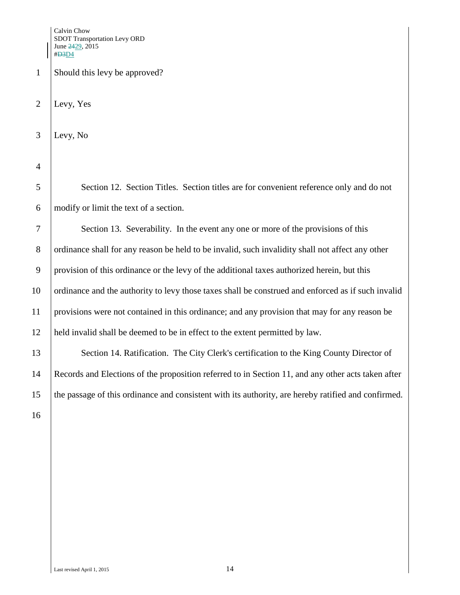1 Should this levy be approved?

2 Levy, Yes

3 Levy, No

4

5 Section 12. Section Titles. Section titles are for convenient reference only and do not 6 modify or limit the text of a section.

 Section 13. Severability. In the event any one or more of the provisions of this 8 ordinance shall for any reason be held to be invalid, such invalidity shall not affect any other provision of this ordinance or the levy of the additional taxes authorized herein, but this 10 ordinance and the authority to levy those taxes shall be construed and enforced as if such invalid provisions were not contained in this ordinance; and any provision that may for any reason be held invalid shall be deemed to be in effect to the extent permitted by law.

13 Section 14. Ratification. The City Clerk's certification to the King County Director of 14 Records and Elections of the proposition referred to in Section 11, and any other acts taken after 15 the passage of this ordinance and consistent with its authority, are hereby ratified and confirmed.

16